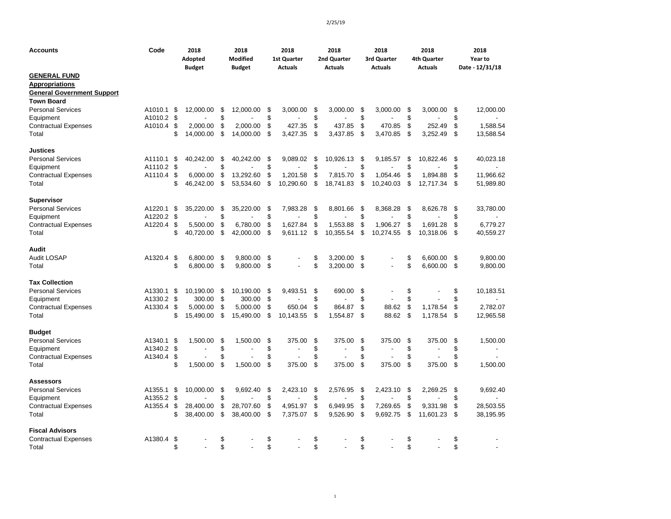| <b>GENERAL FUND</b><br><b>Appropriations</b><br><b>General Government Support</b><br><b>Town Board</b><br><b>Personal Services</b><br>A1010.1<br>12,000.00<br>\$<br>12,000.00<br>3,000.00<br>3,000.00<br>\$<br>3,000.00<br>12,000.00<br>\$<br>\$<br>\$<br>\$<br>3,000.00<br>\$<br>\$<br>\$<br>\$<br>\$<br>\$<br>\$<br>\$<br>Equipment<br>A1010.2<br>\$<br>\$<br>\$<br>\$<br>\$<br>\$<br>\$<br>470.85<br>1,588.54<br><b>Contractual Expenses</b><br>A1010.4<br>2.000.00<br>2,000.00<br>427.35<br>437.85<br>252.49<br>\$<br>\$<br>\$<br>\$<br>\$<br>3,427.35<br>\$<br>3,470.85<br>\$<br>Total<br>14,000.00<br>14,000.00<br>3,437.85<br>3,252.49<br>13,588.54<br><b>Justices</b><br><b>Personal Services</b><br>A1110.1<br>\$<br>40,242.00<br>\$<br>40,242.00<br>\$<br>9,089.02<br>\$<br>10,926.13<br>\$<br>9,185.57<br>\$<br>10,822.46<br>\$<br>40,023.18<br>\$<br>\$<br>\$<br>A1110.2<br>\$<br>\$<br>\$<br>\$<br>Equipment<br>\$<br>\$<br>13.292.60<br>\$<br>\$<br>1,054.46<br>\$<br>\$<br>11,966.62<br><b>Contractual Expenses</b><br>A1110.4<br>6,000.00<br>1,201.58<br>7,815.70<br>\$<br>1,894.88<br>\$<br>\$<br>\$<br>Total<br>\$<br>46,242.00<br>53,534.60<br>\$<br>10,290.60<br>18,741.83<br>\$<br>10,240.03<br>\$<br>12,717.34<br>51,989.80<br><b>Supervisor</b><br><b>Personal Services</b><br>A1220.1<br>\$<br>35,220.00<br>\$<br>35,220.00<br>\$<br>7,983.28<br>\$<br>8,801.66<br>\$<br>8,368.28<br>\$<br>\$<br>33,780.00<br>8,626.78<br>\$<br>\$<br>\$<br>\$<br>\$<br>\$<br>A1220.2<br>\$<br>Equipment<br>A1220.4<br>\$<br>\$<br>\$<br>1,627.84<br>\$<br>1,553.88<br>\$<br>1,906.27<br>\$<br>1,691.28<br>\$<br>6,779.27<br><b>Contractual Expenses</b><br>5,500.00<br>6,780.00<br>\$<br>40,720.00<br>\$<br>\$<br>\$<br>\$<br>\$<br>Total<br>42,000.00<br>9,611.12<br>10,355.54<br>\$<br>10,274.55<br>10,318.06<br>40,559.27<br>Audit<br><b>Audit LOSAP</b><br>\$<br>\$<br>A1320.4<br>6,800.00<br>\$<br>9,800.00<br>\$<br>\$<br>3,200.00<br>\$<br>6,600.00<br>\$<br>9,800.00<br>\$<br>\$<br>\$<br>6.800.00<br>\$<br>9.800.00<br>\$<br>3.200.00<br>\$<br>6.600.00<br>\$<br>9,800.00<br>Total<br>$\overline{a}$<br>$\overline{a}$<br><b>Tax Collection</b><br>\$<br>\$<br>\$<br><b>Personal Services</b><br>A1330.1<br>\$<br>\$<br>10,190.00<br>\$<br>\$<br>690.00<br>10,183.51<br>10,190.00<br>9,493.51<br>$\overline{\phantom{a}}$<br>\$<br>\$<br>\$<br>\$<br>\$<br>\$<br>\$<br>A1330.2<br>300.00<br>Equipment<br>300.00<br>$\overline{a}$<br>\$<br>\$<br>\$<br>\$<br>\$<br>A1330.4<br>\$<br>5,000.00<br>\$<br>864.87<br>88.62<br>1,178.54<br>2,782.07<br><b>Contractual Expenses</b><br>5,000.00<br>650.04<br>88.62<br>\$<br>\$<br>\$<br>15,490.00<br>\$<br>15,490.00<br>\$<br>\$<br>1,554.87<br>\$<br>1,178.54<br>12,965.58<br>Total<br>10,143.55<br><b>Budget</b><br><b>Personal Services</b><br>A1340.1<br>\$<br>1,500.00<br>\$<br>1,500.00<br>\$<br>375.00<br>\$<br>375.00<br>\$<br>375.00<br>\$<br>375.00<br>\$<br>1,500.00<br>\$<br>\$<br>\$<br>\$<br>\$<br>\$<br>\$<br>Equipment<br>A1340.2<br>٠<br>\$<br>\$<br>\$<br>\$<br>\$<br>\$<br>\$<br><b>Contractual Expenses</b><br>A1340.4<br>\$<br>1,500.00<br>\$<br>\$<br>375.00<br>\$<br>\$<br>\$<br>\$<br>1,500.00<br>375.00<br>375.00<br>375.00<br>1,500.00<br>Total<br><b>Assessors</b><br><b>Personal Services</b><br>A1355.1<br>\$<br>10,000.00<br>\$<br>9,692.40<br>\$<br>2,423.10<br>\$<br>2,576.95<br>\$<br>2,423.10<br>\$<br>2,269.25<br>\$<br>9,692.40<br>\$<br>\$<br>\$<br>\$<br>\$<br>\$<br>\$<br>A1355.2<br>Equipment<br>\$<br>\$<br>\$<br>\$<br>\$<br>6,949.95<br>\$<br>7,269.65<br>\$<br>28,503.55<br><b>Contractual Expenses</b><br>A1355.4<br>28,400.00<br>28,707.60<br>4,951.97<br>9,331.98<br>\$<br>\$<br>\$<br>\$<br>\$<br>\$<br>Total<br>\$<br>38,400.00<br>38,400.00<br>7,375.07<br>9,526.90<br>9,692.75<br>11,601.23<br>38,195.95<br><b>Fiscal Advisors</b><br>\$<br>\$<br>\$<br>\$<br>A1380.4<br>-\$<br>\$<br>\$<br><b>Contractual Expenses</b> | <b>Accounts</b> | Code | 2018<br>Adopted<br><b>Budget</b> | 2018<br><b>Modified</b><br><b>Budget</b> | 2018<br>1st Quarter<br><b>Actuals</b> | 2018<br>2nd Quarter<br><b>Actuals</b> | 2018<br>3rd Quarter<br><b>Actuals</b> | 2018<br>4th Quarter<br><b>Actuals</b> | 2018<br>Year to<br>Date - 12/31/18 |
|---------------------------------------------------------------------------------------------------------------------------------------------------------------------------------------------------------------------------------------------------------------------------------------------------------------------------------------------------------------------------------------------------------------------------------------------------------------------------------------------------------------------------------------------------------------------------------------------------------------------------------------------------------------------------------------------------------------------------------------------------------------------------------------------------------------------------------------------------------------------------------------------------------------------------------------------------------------------------------------------------------------------------------------------------------------------------------------------------------------------------------------------------------------------------------------------------------------------------------------------------------------------------------------------------------------------------------------------------------------------------------------------------------------------------------------------------------------------------------------------------------------------------------------------------------------------------------------------------------------------------------------------------------------------------------------------------------------------------------------------------------------------------------------------------------------------------------------------------------------------------------------------------------------------------------------------------------------------------------------------------------------------------------------------------------------------------------------------------------------------------------------------------------------------------------------------------------------------------------------------------------------------------------------------------------------------------------------------------------------------------------------------------------------------------------------------------------------------------------------------------------------------------------------------------------------------------------------------------------------------------------------------------------------------------------------------------------------------------------------------------------------------------------------------------------------------------------------------------------------------------------------------------------------------------------------------------------------------------------------------------------------------------------------------------------------------------------------------------------------------------------------------------------------------------------------------------------------------------------------------------------------------------------------------------------------------------------------------------------------------------------------------------------------------------------------------------------------------------------------------------------------------------------------------------------------------------------------------------------------------------------------------------------------------------------------------------------------------------------------------------------------------------------------------------------------------------------------------------------------------------------------------------------------------------------------|-----------------|------|----------------------------------|------------------------------------------|---------------------------------------|---------------------------------------|---------------------------------------|---------------------------------------|------------------------------------|
|                                                                                                                                                                                                                                                                                                                                                                                                                                                                                                                                                                                                                                                                                                                                                                                                                                                                                                                                                                                                                                                                                                                                                                                                                                                                                                                                                                                                                                                                                                                                                                                                                                                                                                                                                                                                                                                                                                                                                                                                                                                                                                                                                                                                                                                                                                                                                                                                                                                                                                                                                                                                                                                                                                                                                                                                                                                                                                                                                                                                                                                                                                                                                                                                                                                                                                                                                                                                                                                                                                                                                                                                                                                                                                                                                                                                                                                                                                                                       |                 |      |                                  |                                          |                                       |                                       |                                       |                                       |                                    |
|                                                                                                                                                                                                                                                                                                                                                                                                                                                                                                                                                                                                                                                                                                                                                                                                                                                                                                                                                                                                                                                                                                                                                                                                                                                                                                                                                                                                                                                                                                                                                                                                                                                                                                                                                                                                                                                                                                                                                                                                                                                                                                                                                                                                                                                                                                                                                                                                                                                                                                                                                                                                                                                                                                                                                                                                                                                                                                                                                                                                                                                                                                                                                                                                                                                                                                                                                                                                                                                                                                                                                                                                                                                                                                                                                                                                                                                                                                                                       |                 |      |                                  |                                          |                                       |                                       |                                       |                                       |                                    |
|                                                                                                                                                                                                                                                                                                                                                                                                                                                                                                                                                                                                                                                                                                                                                                                                                                                                                                                                                                                                                                                                                                                                                                                                                                                                                                                                                                                                                                                                                                                                                                                                                                                                                                                                                                                                                                                                                                                                                                                                                                                                                                                                                                                                                                                                                                                                                                                                                                                                                                                                                                                                                                                                                                                                                                                                                                                                                                                                                                                                                                                                                                                                                                                                                                                                                                                                                                                                                                                                                                                                                                                                                                                                                                                                                                                                                                                                                                                                       |                 |      |                                  |                                          |                                       |                                       |                                       |                                       |                                    |
|                                                                                                                                                                                                                                                                                                                                                                                                                                                                                                                                                                                                                                                                                                                                                                                                                                                                                                                                                                                                                                                                                                                                                                                                                                                                                                                                                                                                                                                                                                                                                                                                                                                                                                                                                                                                                                                                                                                                                                                                                                                                                                                                                                                                                                                                                                                                                                                                                                                                                                                                                                                                                                                                                                                                                                                                                                                                                                                                                                                                                                                                                                                                                                                                                                                                                                                                                                                                                                                                                                                                                                                                                                                                                                                                                                                                                                                                                                                                       |                 |      |                                  |                                          |                                       |                                       |                                       |                                       |                                    |
|                                                                                                                                                                                                                                                                                                                                                                                                                                                                                                                                                                                                                                                                                                                                                                                                                                                                                                                                                                                                                                                                                                                                                                                                                                                                                                                                                                                                                                                                                                                                                                                                                                                                                                                                                                                                                                                                                                                                                                                                                                                                                                                                                                                                                                                                                                                                                                                                                                                                                                                                                                                                                                                                                                                                                                                                                                                                                                                                                                                                                                                                                                                                                                                                                                                                                                                                                                                                                                                                                                                                                                                                                                                                                                                                                                                                                                                                                                                                       |                 |      |                                  |                                          |                                       |                                       |                                       |                                       |                                    |
|                                                                                                                                                                                                                                                                                                                                                                                                                                                                                                                                                                                                                                                                                                                                                                                                                                                                                                                                                                                                                                                                                                                                                                                                                                                                                                                                                                                                                                                                                                                                                                                                                                                                                                                                                                                                                                                                                                                                                                                                                                                                                                                                                                                                                                                                                                                                                                                                                                                                                                                                                                                                                                                                                                                                                                                                                                                                                                                                                                                                                                                                                                                                                                                                                                                                                                                                                                                                                                                                                                                                                                                                                                                                                                                                                                                                                                                                                                                                       |                 |      |                                  |                                          |                                       |                                       |                                       |                                       |                                    |
|                                                                                                                                                                                                                                                                                                                                                                                                                                                                                                                                                                                                                                                                                                                                                                                                                                                                                                                                                                                                                                                                                                                                                                                                                                                                                                                                                                                                                                                                                                                                                                                                                                                                                                                                                                                                                                                                                                                                                                                                                                                                                                                                                                                                                                                                                                                                                                                                                                                                                                                                                                                                                                                                                                                                                                                                                                                                                                                                                                                                                                                                                                                                                                                                                                                                                                                                                                                                                                                                                                                                                                                                                                                                                                                                                                                                                                                                                                                                       |                 |      |                                  |                                          |                                       |                                       |                                       |                                       |                                    |
|                                                                                                                                                                                                                                                                                                                                                                                                                                                                                                                                                                                                                                                                                                                                                                                                                                                                                                                                                                                                                                                                                                                                                                                                                                                                                                                                                                                                                                                                                                                                                                                                                                                                                                                                                                                                                                                                                                                                                                                                                                                                                                                                                                                                                                                                                                                                                                                                                                                                                                                                                                                                                                                                                                                                                                                                                                                                                                                                                                                                                                                                                                                                                                                                                                                                                                                                                                                                                                                                                                                                                                                                                                                                                                                                                                                                                                                                                                                                       |                 |      |                                  |                                          |                                       |                                       |                                       |                                       |                                    |
|                                                                                                                                                                                                                                                                                                                                                                                                                                                                                                                                                                                                                                                                                                                                                                                                                                                                                                                                                                                                                                                                                                                                                                                                                                                                                                                                                                                                                                                                                                                                                                                                                                                                                                                                                                                                                                                                                                                                                                                                                                                                                                                                                                                                                                                                                                                                                                                                                                                                                                                                                                                                                                                                                                                                                                                                                                                                                                                                                                                                                                                                                                                                                                                                                                                                                                                                                                                                                                                                                                                                                                                                                                                                                                                                                                                                                                                                                                                                       |                 |      |                                  |                                          |                                       |                                       |                                       |                                       |                                    |
|                                                                                                                                                                                                                                                                                                                                                                                                                                                                                                                                                                                                                                                                                                                                                                                                                                                                                                                                                                                                                                                                                                                                                                                                                                                                                                                                                                                                                                                                                                                                                                                                                                                                                                                                                                                                                                                                                                                                                                                                                                                                                                                                                                                                                                                                                                                                                                                                                                                                                                                                                                                                                                                                                                                                                                                                                                                                                                                                                                                                                                                                                                                                                                                                                                                                                                                                                                                                                                                                                                                                                                                                                                                                                                                                                                                                                                                                                                                                       |                 |      |                                  |                                          |                                       |                                       |                                       |                                       |                                    |
|                                                                                                                                                                                                                                                                                                                                                                                                                                                                                                                                                                                                                                                                                                                                                                                                                                                                                                                                                                                                                                                                                                                                                                                                                                                                                                                                                                                                                                                                                                                                                                                                                                                                                                                                                                                                                                                                                                                                                                                                                                                                                                                                                                                                                                                                                                                                                                                                                                                                                                                                                                                                                                                                                                                                                                                                                                                                                                                                                                                                                                                                                                                                                                                                                                                                                                                                                                                                                                                                                                                                                                                                                                                                                                                                                                                                                                                                                                                                       |                 |      |                                  |                                          |                                       |                                       |                                       |                                       |                                    |
|                                                                                                                                                                                                                                                                                                                                                                                                                                                                                                                                                                                                                                                                                                                                                                                                                                                                                                                                                                                                                                                                                                                                                                                                                                                                                                                                                                                                                                                                                                                                                                                                                                                                                                                                                                                                                                                                                                                                                                                                                                                                                                                                                                                                                                                                                                                                                                                                                                                                                                                                                                                                                                                                                                                                                                                                                                                                                                                                                                                                                                                                                                                                                                                                                                                                                                                                                                                                                                                                                                                                                                                                                                                                                                                                                                                                                                                                                                                                       |                 |      |                                  |                                          |                                       |                                       |                                       |                                       |                                    |
|                                                                                                                                                                                                                                                                                                                                                                                                                                                                                                                                                                                                                                                                                                                                                                                                                                                                                                                                                                                                                                                                                                                                                                                                                                                                                                                                                                                                                                                                                                                                                                                                                                                                                                                                                                                                                                                                                                                                                                                                                                                                                                                                                                                                                                                                                                                                                                                                                                                                                                                                                                                                                                                                                                                                                                                                                                                                                                                                                                                                                                                                                                                                                                                                                                                                                                                                                                                                                                                                                                                                                                                                                                                                                                                                                                                                                                                                                                                                       |                 |      |                                  |                                          |                                       |                                       |                                       |                                       |                                    |
|                                                                                                                                                                                                                                                                                                                                                                                                                                                                                                                                                                                                                                                                                                                                                                                                                                                                                                                                                                                                                                                                                                                                                                                                                                                                                                                                                                                                                                                                                                                                                                                                                                                                                                                                                                                                                                                                                                                                                                                                                                                                                                                                                                                                                                                                                                                                                                                                                                                                                                                                                                                                                                                                                                                                                                                                                                                                                                                                                                                                                                                                                                                                                                                                                                                                                                                                                                                                                                                                                                                                                                                                                                                                                                                                                                                                                                                                                                                                       |                 |      |                                  |                                          |                                       |                                       |                                       |                                       |                                    |
|                                                                                                                                                                                                                                                                                                                                                                                                                                                                                                                                                                                                                                                                                                                                                                                                                                                                                                                                                                                                                                                                                                                                                                                                                                                                                                                                                                                                                                                                                                                                                                                                                                                                                                                                                                                                                                                                                                                                                                                                                                                                                                                                                                                                                                                                                                                                                                                                                                                                                                                                                                                                                                                                                                                                                                                                                                                                                                                                                                                                                                                                                                                                                                                                                                                                                                                                                                                                                                                                                                                                                                                                                                                                                                                                                                                                                                                                                                                                       |                 |      |                                  |                                          |                                       |                                       |                                       |                                       |                                    |
|                                                                                                                                                                                                                                                                                                                                                                                                                                                                                                                                                                                                                                                                                                                                                                                                                                                                                                                                                                                                                                                                                                                                                                                                                                                                                                                                                                                                                                                                                                                                                                                                                                                                                                                                                                                                                                                                                                                                                                                                                                                                                                                                                                                                                                                                                                                                                                                                                                                                                                                                                                                                                                                                                                                                                                                                                                                                                                                                                                                                                                                                                                                                                                                                                                                                                                                                                                                                                                                                                                                                                                                                                                                                                                                                                                                                                                                                                                                                       |                 |      |                                  |                                          |                                       |                                       |                                       |                                       |                                    |
|                                                                                                                                                                                                                                                                                                                                                                                                                                                                                                                                                                                                                                                                                                                                                                                                                                                                                                                                                                                                                                                                                                                                                                                                                                                                                                                                                                                                                                                                                                                                                                                                                                                                                                                                                                                                                                                                                                                                                                                                                                                                                                                                                                                                                                                                                                                                                                                                                                                                                                                                                                                                                                                                                                                                                                                                                                                                                                                                                                                                                                                                                                                                                                                                                                                                                                                                                                                                                                                                                                                                                                                                                                                                                                                                                                                                                                                                                                                                       |                 |      |                                  |                                          |                                       |                                       |                                       |                                       |                                    |
|                                                                                                                                                                                                                                                                                                                                                                                                                                                                                                                                                                                                                                                                                                                                                                                                                                                                                                                                                                                                                                                                                                                                                                                                                                                                                                                                                                                                                                                                                                                                                                                                                                                                                                                                                                                                                                                                                                                                                                                                                                                                                                                                                                                                                                                                                                                                                                                                                                                                                                                                                                                                                                                                                                                                                                                                                                                                                                                                                                                                                                                                                                                                                                                                                                                                                                                                                                                                                                                                                                                                                                                                                                                                                                                                                                                                                                                                                                                                       |                 |      |                                  |                                          |                                       |                                       |                                       |                                       |                                    |
|                                                                                                                                                                                                                                                                                                                                                                                                                                                                                                                                                                                                                                                                                                                                                                                                                                                                                                                                                                                                                                                                                                                                                                                                                                                                                                                                                                                                                                                                                                                                                                                                                                                                                                                                                                                                                                                                                                                                                                                                                                                                                                                                                                                                                                                                                                                                                                                                                                                                                                                                                                                                                                                                                                                                                                                                                                                                                                                                                                                                                                                                                                                                                                                                                                                                                                                                                                                                                                                                                                                                                                                                                                                                                                                                                                                                                                                                                                                                       |                 |      |                                  |                                          |                                       |                                       |                                       |                                       |                                    |
|                                                                                                                                                                                                                                                                                                                                                                                                                                                                                                                                                                                                                                                                                                                                                                                                                                                                                                                                                                                                                                                                                                                                                                                                                                                                                                                                                                                                                                                                                                                                                                                                                                                                                                                                                                                                                                                                                                                                                                                                                                                                                                                                                                                                                                                                                                                                                                                                                                                                                                                                                                                                                                                                                                                                                                                                                                                                                                                                                                                                                                                                                                                                                                                                                                                                                                                                                                                                                                                                                                                                                                                                                                                                                                                                                                                                                                                                                                                                       |                 |      |                                  |                                          |                                       |                                       |                                       |                                       |                                    |
|                                                                                                                                                                                                                                                                                                                                                                                                                                                                                                                                                                                                                                                                                                                                                                                                                                                                                                                                                                                                                                                                                                                                                                                                                                                                                                                                                                                                                                                                                                                                                                                                                                                                                                                                                                                                                                                                                                                                                                                                                                                                                                                                                                                                                                                                                                                                                                                                                                                                                                                                                                                                                                                                                                                                                                                                                                                                                                                                                                                                                                                                                                                                                                                                                                                                                                                                                                                                                                                                                                                                                                                                                                                                                                                                                                                                                                                                                                                                       |                 |      |                                  |                                          |                                       |                                       |                                       |                                       |                                    |
|                                                                                                                                                                                                                                                                                                                                                                                                                                                                                                                                                                                                                                                                                                                                                                                                                                                                                                                                                                                                                                                                                                                                                                                                                                                                                                                                                                                                                                                                                                                                                                                                                                                                                                                                                                                                                                                                                                                                                                                                                                                                                                                                                                                                                                                                                                                                                                                                                                                                                                                                                                                                                                                                                                                                                                                                                                                                                                                                                                                                                                                                                                                                                                                                                                                                                                                                                                                                                                                                                                                                                                                                                                                                                                                                                                                                                                                                                                                                       |                 |      |                                  |                                          |                                       |                                       |                                       |                                       |                                    |
|                                                                                                                                                                                                                                                                                                                                                                                                                                                                                                                                                                                                                                                                                                                                                                                                                                                                                                                                                                                                                                                                                                                                                                                                                                                                                                                                                                                                                                                                                                                                                                                                                                                                                                                                                                                                                                                                                                                                                                                                                                                                                                                                                                                                                                                                                                                                                                                                                                                                                                                                                                                                                                                                                                                                                                                                                                                                                                                                                                                                                                                                                                                                                                                                                                                                                                                                                                                                                                                                                                                                                                                                                                                                                                                                                                                                                                                                                                                                       |                 |      |                                  |                                          |                                       |                                       |                                       |                                       |                                    |
|                                                                                                                                                                                                                                                                                                                                                                                                                                                                                                                                                                                                                                                                                                                                                                                                                                                                                                                                                                                                                                                                                                                                                                                                                                                                                                                                                                                                                                                                                                                                                                                                                                                                                                                                                                                                                                                                                                                                                                                                                                                                                                                                                                                                                                                                                                                                                                                                                                                                                                                                                                                                                                                                                                                                                                                                                                                                                                                                                                                                                                                                                                                                                                                                                                                                                                                                                                                                                                                                                                                                                                                                                                                                                                                                                                                                                                                                                                                                       |                 |      |                                  |                                          |                                       |                                       |                                       |                                       |                                    |
|                                                                                                                                                                                                                                                                                                                                                                                                                                                                                                                                                                                                                                                                                                                                                                                                                                                                                                                                                                                                                                                                                                                                                                                                                                                                                                                                                                                                                                                                                                                                                                                                                                                                                                                                                                                                                                                                                                                                                                                                                                                                                                                                                                                                                                                                                                                                                                                                                                                                                                                                                                                                                                                                                                                                                                                                                                                                                                                                                                                                                                                                                                                                                                                                                                                                                                                                                                                                                                                                                                                                                                                                                                                                                                                                                                                                                                                                                                                                       |                 |      |                                  |                                          |                                       |                                       |                                       |                                       |                                    |
|                                                                                                                                                                                                                                                                                                                                                                                                                                                                                                                                                                                                                                                                                                                                                                                                                                                                                                                                                                                                                                                                                                                                                                                                                                                                                                                                                                                                                                                                                                                                                                                                                                                                                                                                                                                                                                                                                                                                                                                                                                                                                                                                                                                                                                                                                                                                                                                                                                                                                                                                                                                                                                                                                                                                                                                                                                                                                                                                                                                                                                                                                                                                                                                                                                                                                                                                                                                                                                                                                                                                                                                                                                                                                                                                                                                                                                                                                                                                       |                 |      |                                  |                                          |                                       |                                       |                                       |                                       |                                    |
|                                                                                                                                                                                                                                                                                                                                                                                                                                                                                                                                                                                                                                                                                                                                                                                                                                                                                                                                                                                                                                                                                                                                                                                                                                                                                                                                                                                                                                                                                                                                                                                                                                                                                                                                                                                                                                                                                                                                                                                                                                                                                                                                                                                                                                                                                                                                                                                                                                                                                                                                                                                                                                                                                                                                                                                                                                                                                                                                                                                                                                                                                                                                                                                                                                                                                                                                                                                                                                                                                                                                                                                                                                                                                                                                                                                                                                                                                                                                       |                 |      |                                  |                                          |                                       |                                       |                                       |                                       |                                    |
|                                                                                                                                                                                                                                                                                                                                                                                                                                                                                                                                                                                                                                                                                                                                                                                                                                                                                                                                                                                                                                                                                                                                                                                                                                                                                                                                                                                                                                                                                                                                                                                                                                                                                                                                                                                                                                                                                                                                                                                                                                                                                                                                                                                                                                                                                                                                                                                                                                                                                                                                                                                                                                                                                                                                                                                                                                                                                                                                                                                                                                                                                                                                                                                                                                                                                                                                                                                                                                                                                                                                                                                                                                                                                                                                                                                                                                                                                                                                       |                 |      |                                  |                                          |                                       |                                       |                                       |                                       |                                    |
|                                                                                                                                                                                                                                                                                                                                                                                                                                                                                                                                                                                                                                                                                                                                                                                                                                                                                                                                                                                                                                                                                                                                                                                                                                                                                                                                                                                                                                                                                                                                                                                                                                                                                                                                                                                                                                                                                                                                                                                                                                                                                                                                                                                                                                                                                                                                                                                                                                                                                                                                                                                                                                                                                                                                                                                                                                                                                                                                                                                                                                                                                                                                                                                                                                                                                                                                                                                                                                                                                                                                                                                                                                                                                                                                                                                                                                                                                                                                       |                 |      |                                  |                                          |                                       |                                       |                                       |                                       |                                    |
|                                                                                                                                                                                                                                                                                                                                                                                                                                                                                                                                                                                                                                                                                                                                                                                                                                                                                                                                                                                                                                                                                                                                                                                                                                                                                                                                                                                                                                                                                                                                                                                                                                                                                                                                                                                                                                                                                                                                                                                                                                                                                                                                                                                                                                                                                                                                                                                                                                                                                                                                                                                                                                                                                                                                                                                                                                                                                                                                                                                                                                                                                                                                                                                                                                                                                                                                                                                                                                                                                                                                                                                                                                                                                                                                                                                                                                                                                                                                       |                 |      |                                  |                                          |                                       |                                       |                                       |                                       |                                    |
|                                                                                                                                                                                                                                                                                                                                                                                                                                                                                                                                                                                                                                                                                                                                                                                                                                                                                                                                                                                                                                                                                                                                                                                                                                                                                                                                                                                                                                                                                                                                                                                                                                                                                                                                                                                                                                                                                                                                                                                                                                                                                                                                                                                                                                                                                                                                                                                                                                                                                                                                                                                                                                                                                                                                                                                                                                                                                                                                                                                                                                                                                                                                                                                                                                                                                                                                                                                                                                                                                                                                                                                                                                                                                                                                                                                                                                                                                                                                       |                 |      |                                  |                                          |                                       |                                       |                                       |                                       |                                    |
|                                                                                                                                                                                                                                                                                                                                                                                                                                                                                                                                                                                                                                                                                                                                                                                                                                                                                                                                                                                                                                                                                                                                                                                                                                                                                                                                                                                                                                                                                                                                                                                                                                                                                                                                                                                                                                                                                                                                                                                                                                                                                                                                                                                                                                                                                                                                                                                                                                                                                                                                                                                                                                                                                                                                                                                                                                                                                                                                                                                                                                                                                                                                                                                                                                                                                                                                                                                                                                                                                                                                                                                                                                                                                                                                                                                                                                                                                                                                       |                 |      |                                  |                                          |                                       |                                       |                                       |                                       |                                    |
|                                                                                                                                                                                                                                                                                                                                                                                                                                                                                                                                                                                                                                                                                                                                                                                                                                                                                                                                                                                                                                                                                                                                                                                                                                                                                                                                                                                                                                                                                                                                                                                                                                                                                                                                                                                                                                                                                                                                                                                                                                                                                                                                                                                                                                                                                                                                                                                                                                                                                                                                                                                                                                                                                                                                                                                                                                                                                                                                                                                                                                                                                                                                                                                                                                                                                                                                                                                                                                                                                                                                                                                                                                                                                                                                                                                                                                                                                                                                       |                 |      |                                  |                                          |                                       |                                       |                                       |                                       |                                    |
|                                                                                                                                                                                                                                                                                                                                                                                                                                                                                                                                                                                                                                                                                                                                                                                                                                                                                                                                                                                                                                                                                                                                                                                                                                                                                                                                                                                                                                                                                                                                                                                                                                                                                                                                                                                                                                                                                                                                                                                                                                                                                                                                                                                                                                                                                                                                                                                                                                                                                                                                                                                                                                                                                                                                                                                                                                                                                                                                                                                                                                                                                                                                                                                                                                                                                                                                                                                                                                                                                                                                                                                                                                                                                                                                                                                                                                                                                                                                       |                 |      |                                  |                                          |                                       |                                       |                                       |                                       |                                    |
|                                                                                                                                                                                                                                                                                                                                                                                                                                                                                                                                                                                                                                                                                                                                                                                                                                                                                                                                                                                                                                                                                                                                                                                                                                                                                                                                                                                                                                                                                                                                                                                                                                                                                                                                                                                                                                                                                                                                                                                                                                                                                                                                                                                                                                                                                                                                                                                                                                                                                                                                                                                                                                                                                                                                                                                                                                                                                                                                                                                                                                                                                                                                                                                                                                                                                                                                                                                                                                                                                                                                                                                                                                                                                                                                                                                                                                                                                                                                       |                 |      |                                  |                                          |                                       |                                       |                                       |                                       |                                    |
|                                                                                                                                                                                                                                                                                                                                                                                                                                                                                                                                                                                                                                                                                                                                                                                                                                                                                                                                                                                                                                                                                                                                                                                                                                                                                                                                                                                                                                                                                                                                                                                                                                                                                                                                                                                                                                                                                                                                                                                                                                                                                                                                                                                                                                                                                                                                                                                                                                                                                                                                                                                                                                                                                                                                                                                                                                                                                                                                                                                                                                                                                                                                                                                                                                                                                                                                                                                                                                                                                                                                                                                                                                                                                                                                                                                                                                                                                                                                       | Total           |      | \$                               | \$                                       | \$                                    | \$                                    | \$                                    | \$                                    | \$                                 |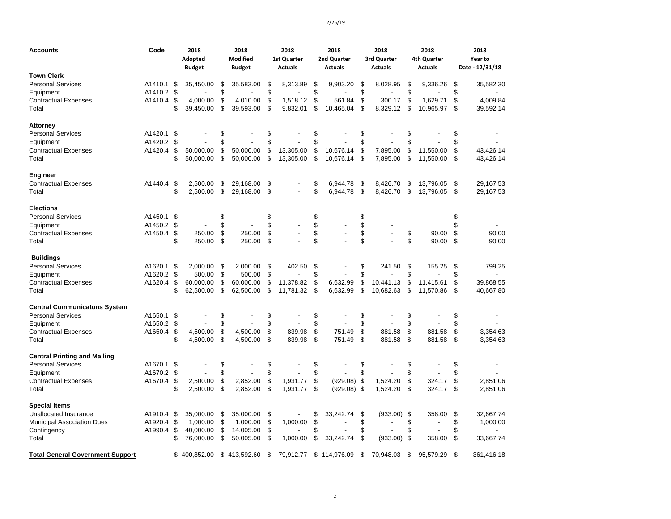| Accounts                                | Code       | 2018<br>Adopted<br><b>Budget</b> | 2018<br><b>Modified</b><br><b>Budget</b> | 2018<br><b>1st Quarter</b><br><b>Actuals</b> |    | 2018<br>2nd Quarter<br><b>Actuals</b> | 2018<br>3rd Quarter<br><b>Actuals</b> |      | 2018<br>4th Quarter<br><b>Actuals</b> | 2018<br>Year to<br>Date - 12/31/18 |
|-----------------------------------------|------------|----------------------------------|------------------------------------------|----------------------------------------------|----|---------------------------------------|---------------------------------------|------|---------------------------------------|------------------------------------|
| Town Clerk                              |            |                                  |                                          |                                              |    |                                       |                                       |      |                                       |                                    |
| <b>Personal Services</b>                | A1410.1    | \$<br>35,450.00                  | \$<br>35,583.00                          | \$<br>8,313.89                               | \$ | 9,903.20                              | \$<br>8,028.95                        | \$   | 9.336.26                              | \$<br>35,582.30                    |
| Equipment                               | A1410.2    | \$                               | \$                                       | \$                                           | \$ |                                       | \$                                    | \$   |                                       | \$                                 |
| Contractual Expenses                    | A1410.4    | \$<br>4,000.00                   | \$<br>4,010.00                           | \$<br>1,518.12                               | \$ | 561.84                                | \$<br>300.17                          | \$   | 1,629.71                              | \$<br>4,009.84                     |
| Total                                   |            | \$<br>39,450.00                  | \$<br>39,593.00                          | \$<br>9,832.01                               | \$ | 10.465.04                             | \$<br>8.329.12                        | \$   | 10,965.97                             | \$<br>39,592.14                    |
| Attorney                                |            |                                  |                                          |                                              |    |                                       |                                       |      |                                       |                                    |
| <b>Personal Services</b>                | A1420.1    | \$                               | \$                                       | \$                                           | \$ |                                       | \$                                    | \$   |                                       | \$                                 |
| Equipment                               | A1420.2    | \$                               | \$                                       | \$                                           | \$ |                                       | \$                                    | \$   |                                       | \$                                 |
| <b>Contractual Expenses</b>             | A1420.4    | \$<br>50,000.00                  | \$<br>50,000.00                          | \$<br>13,305.00                              | \$ | 10,676.14                             | \$<br>7,895.00                        | \$   | 11,550.00                             | \$<br>43,426.14                    |
| Total                                   |            | \$<br>50,000.00                  | \$<br>50,000.00                          | \$<br>13,305.00                              | \$ | 10,676.14                             | \$<br>7,895.00                        | \$   | 11,550.00                             | \$<br>43,426.14                    |
| Engineer                                |            |                                  |                                          |                                              |    |                                       |                                       |      |                                       |                                    |
| Contractual Expenses                    | A1440.4    | \$<br>2,500.00                   | \$<br>29,168.00                          | \$                                           | \$ | 6.944.78                              | \$<br>8,426.70                        | \$   | 13,796.05                             | \$<br>29,167.53                    |
| Total                                   |            | \$<br>2.500.00                   | \$<br>29,168.00                          | \$<br>$\overline{a}$                         | \$ | 6.944.78                              | \$<br>8.426.70                        | \$   | 13.796.05                             | \$<br>29,167.53                    |
| <b>Elections</b>                        |            |                                  |                                          |                                              |    |                                       |                                       |      |                                       |                                    |
| <b>Personal Services</b>                | A1450.1    | \$                               | \$                                       | \$                                           | \$ |                                       | \$                                    |      |                                       | \$                                 |
| Equipment                               | A1450.2    | \$                               | \$                                       | \$                                           | \$ |                                       | \$                                    |      |                                       | \$<br>$\overline{\phantom{a}}$     |
| Contractual Expenses                    | A1450.4    | \$<br>250.00                     | \$<br>250.00                             | \$<br>$\overline{a}$                         | \$ | Ĭ.                                    | \$<br>$\blacksquare$                  | \$   | 90.00                                 | \$<br>90.00                        |
| Total                                   |            | \$<br>250.00                     | \$<br>250.00                             | \$                                           | \$ |                                       | \$                                    | \$   | 90.00                                 | \$<br>90.00                        |
| <b>Buildings</b>                        |            |                                  |                                          |                                              |    |                                       |                                       |      |                                       |                                    |
| Personal Services                       | A1620.1    | \$<br>2,000.00                   | \$<br>2,000.00                           | \$<br>402.50                                 | \$ |                                       | \$<br>241.50                          | \$   | 155.25                                | \$<br>799.25                       |
| Equipment                               | A1620.2 \$ | 500.00                           | \$<br>500.00                             | \$                                           | \$ |                                       | \$                                    | \$   |                                       | \$                                 |
| Contractual Expenses                    | A1620.4    | \$<br>60,000.00                  | \$<br>60,000.00                          | \$<br>11,378.82                              | \$ | 6,632.99                              | \$<br>10,441.13                       | \$   | 11,415.61                             | \$<br>39,868.55                    |
| Total                                   |            | \$<br>62,500.00                  | \$<br>62,500.00                          | \$<br>11,781.32                              | \$ | 6,632.99                              | \$<br>10,682.63                       | \$   | 11,570.86                             | \$<br>40,667.80                    |
| <b>Central Communicatons System</b>     |            |                                  |                                          |                                              |    |                                       |                                       |      |                                       |                                    |
| <b>Personal Services</b>                | A1650.1    | \$                               | \$                                       | \$                                           | \$ |                                       | \$                                    | \$   |                                       | \$                                 |
| Equipment                               | A1650.2    | \$                               | \$                                       | \$                                           | \$ |                                       | \$                                    | \$   |                                       | \$                                 |
| Contractual Expenses                    | A1650.4    | \$<br>4,500.00                   | \$<br>4,500.00                           | \$<br>839.98                                 | \$ | 751.49                                | \$<br>881.58                          | \$   | 881.58                                | \$<br>3,354.63                     |
| Total                                   |            | \$<br>4,500.00                   | \$<br>4,500.00                           | \$<br>839.98                                 | \$ | 751.49                                | \$<br>881.58                          | \$   | 881.58                                | \$<br>3,354.63                     |
| <b>Central Printing and Mailing</b>     |            |                                  |                                          |                                              |    |                                       |                                       |      |                                       |                                    |
| <b>Personal Services</b>                | A1670.1    | \$                               | \$                                       | \$                                           | \$ |                                       | \$                                    | \$   |                                       | \$                                 |
| Equipment                               | A1670.2    | \$                               | \$                                       | \$                                           | \$ |                                       | \$                                    | \$   |                                       | \$                                 |
| Contractual Expenses                    | A1670.4    | \$<br>2,500.00                   | \$<br>2,852.00                           | \$<br>1,931.77                               | \$ | $(929.08)$ \$                         | 1,524.20                              | \$   | 324.17                                | \$<br>2,851.06                     |
| Total                                   |            | \$<br>2,500.00                   | \$<br>2,852.00                           | \$<br>1,931.77                               | \$ | $(929.08)$ \$                         | 1,524.20                              | \$   | 324.17                                | \$<br>2,851.06                     |
| <b>Special items</b>                    |            |                                  |                                          |                                              |    |                                       |                                       |      |                                       |                                    |
| Unallocated Insurance                   | A1910.4    | \$<br>35,000.00                  | \$<br>35,000.00                          | \$                                           | S  | 33,242.74                             | \$<br>(933.00)                        | - \$ | 358.00                                | \$<br>32,667.74                    |
| <b>Municipal Association Dues</b>       | A1920.4 \$ | 1,000.00                         | \$<br>1,000.00                           | \$<br>1,000.00                               | \$ |                                       | \$                                    | \$   |                                       | \$<br>1,000.00                     |
| Contingency                             | A1990.4    | \$<br>40,000.00                  | \$<br>14,005.00                          | \$                                           | \$ |                                       | \$                                    | \$   |                                       | \$                                 |
| Total                                   |            | \$<br>76,000.00                  | \$<br>50,005.00                          | \$<br>1,000.00                               | \$ | 33,242.74                             | \$<br>(933.00)                        | -\$  | 358.00                                | \$<br>33,667.74                    |
| <b>Total General Government Support</b> |            | \$<br>400,852.00                 | \$<br>413,592.60                         | \$<br>79,912.77                              | \$ | 114,976.09                            | \$<br>70,948.03                       | \$   | 95,579.29                             | \$<br>361,416.18                   |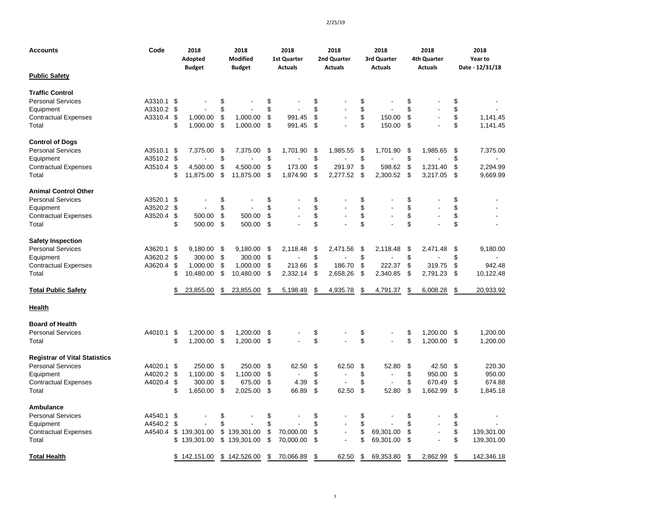| <b>Accounts</b>                      | Code    |          | 2018<br>Adopted<br><b>Budget</b> |          | 2018<br><b>Modified</b><br><b>Budget</b> |          | 2018<br><b>1st Quarter</b><br><b>Actuals</b> |          | 2018<br>2nd Quarter<br><b>Actuals</b> |          | 2018<br>3rd Quarter<br><b>Actuals</b> |          | 2018<br>4th Quarter<br><b>Actuals</b> |          | 2018<br>Year to<br>Date - 12/31/18 |
|--------------------------------------|---------|----------|----------------------------------|----------|------------------------------------------|----------|----------------------------------------------|----------|---------------------------------------|----------|---------------------------------------|----------|---------------------------------------|----------|------------------------------------|
| <b>Public Safety</b>                 |         |          |                                  |          |                                          |          |                                              |          |                                       |          |                                       |          |                                       |          |                                    |
| <b>Traffic Control</b>               |         |          |                                  |          |                                          |          |                                              |          |                                       |          |                                       |          |                                       |          |                                    |
| <b>Personal Services</b>             | A3310.1 | \$       |                                  | \$       |                                          | \$       |                                              | \$       |                                       | \$       |                                       | \$       |                                       | \$       |                                    |
| Equipment                            | A3310.2 | \$       |                                  | \$       |                                          | \$       |                                              | \$       |                                       | \$       |                                       | \$       |                                       | \$       |                                    |
| <b>Contractual Expenses</b><br>Total | A3310.4 | \$<br>\$ | 1,000.00<br>1,000.00             | \$<br>\$ | 1,000.00<br>1,000.00                     | \$<br>\$ | 991.45<br>991.45                             | \$<br>\$ | $\overline{a}$                        | \$<br>\$ | 150.00<br>150.00                      | \$<br>\$ |                                       | \$<br>\$ | 1,141.45<br>1,141.45               |
| <b>Control of Dogs</b>               |         |          |                                  |          |                                          |          |                                              |          |                                       |          |                                       |          |                                       |          |                                    |
| <b>Personal Services</b>             | A3510.1 | \$       | 7,375.00                         | \$       | 7,375.00                                 | \$       | 1.701.90                                     | \$       | 1,985.55                              | \$       | 1,701.90                              | -\$      | 1.985.65                              | \$       | 7,375.00                           |
| Equipment                            | A3510.2 | \$       |                                  | \$       |                                          | \$       |                                              | \$       |                                       | \$       |                                       | \$       |                                       | \$       |                                    |
| <b>Contractual Expenses</b>          | A3510.4 | \$       | 4,500.00                         | \$       | 4,500.00                                 | \$       | 173.00                                       | \$       | 291.97                                | \$       | 598.62                                | \$       | 1,231.40                              | \$       | 2,294.99                           |
| Total                                |         | \$       | 11,875.00                        | \$       | 11,875.00                                | \$       | 1,874.90                                     | \$       | 2,277.52                              | \$       | 2,300.52                              | \$       | 3,217.05                              | \$       | 9,669.99                           |
| <b>Animal Control Other</b>          |         |          |                                  |          |                                          |          |                                              |          |                                       |          |                                       |          |                                       |          |                                    |
| <b>Personal Services</b>             | A3520.1 | \$       |                                  | \$       |                                          | \$       |                                              | \$       |                                       | \$       |                                       | \$       |                                       | \$       |                                    |
| Equipment                            | A3520.2 | \$       |                                  | \$       |                                          | \$       |                                              | \$       |                                       | \$       | $\overline{a}$                        | \$       |                                       | \$       |                                    |
| <b>Contractual Expenses</b>          | A3520.4 | \$       | 500.00                           | \$       | 500.00                                   | \$       |                                              | \$       |                                       | \$       | $\overline{a}$                        | \$       |                                       | \$       |                                    |
| Total                                |         | \$       | 500.00                           | \$       | 500.00                                   | \$       |                                              | \$       |                                       | \$       |                                       | \$       |                                       | \$       |                                    |
| <b>Safety Inspection</b>             |         |          |                                  |          |                                          |          |                                              |          |                                       |          |                                       |          |                                       |          |                                    |
| <b>Personal Services</b>             | A3620.1 | \$       | 9,180.00                         | \$       | 9,180.00                                 | \$       | 2,118.48                                     | \$       | 2,471.56                              | \$       | 2,118.48                              | \$       | 2,471.48                              | \$       | 9,180.00                           |
| Equipment                            | A3620.2 | \$       | 300.00                           | \$       | 300.00                                   | \$       |                                              | \$       |                                       | \$       |                                       | \$       |                                       | \$       |                                    |
| <b>Contractual Expenses</b>          | A3620.4 | \$       | 1,000.00                         | \$       | 1,000.00                                 | \$       | 213.66                                       | \$       | 186.70                                | \$       | 222.37                                | \$       | 319.75                                | \$       | 942.48                             |
| Total                                |         | \$       | 10,480.00                        | \$       | 10,480.00                                | \$       | 2,332.14                                     | \$       | 2,658.26                              | \$       | 2,340.85                              | -\$      | 2,791.23                              | \$       | 10,122.48                          |
| <b>Total Public Safety</b>           |         | \$       | 23,855.00                        | \$       | 23,855.00                                | \$       | 5,198.49                                     | \$       | 4,935.78                              | \$       | 4,791.37                              | \$       | 6,008.28                              | \$       | 20,933.92                          |
| <u>Health</u>                        |         |          |                                  |          |                                          |          |                                              |          |                                       |          |                                       |          |                                       |          |                                    |
| <b>Board of Health</b>               |         |          |                                  |          |                                          |          |                                              |          |                                       |          |                                       |          |                                       |          |                                    |
| <b>Personal Services</b>             | A4010.1 | \$       | 1,200.00                         | \$       | 1,200.00                                 | \$       |                                              | \$       |                                       | \$       |                                       | \$       | 1,200.00                              | \$       | 1.200.00                           |
| Total                                |         | \$       | 1,200.00 \$                      |          | 1,200.00 \$                              |          |                                              | \$       |                                       | \$       | $\overline{a}$                        | \$       | 1,200.00 \$                           |          | 1,200.00                           |
| <b>Registrar of Vital Statistics</b> |         |          |                                  |          |                                          |          |                                              |          |                                       |          |                                       |          |                                       |          |                                    |
| <b>Personal Services</b>             | A4020.1 | \$       | 250.00                           | \$       | 250.00                                   | \$       | 62.50                                        | \$       | 62.50                                 | \$       | 52.80                                 | \$       | 42.50                                 | \$       | 220.30                             |
| Equipment                            | A4020.2 | \$       | 1,100.00                         | \$       | 1,100.00                                 | \$       | $\overline{a}$                               | \$       |                                       | \$       | $\ddot{\phantom{a}}$                  | \$       | 950.00                                | \$       | 950.00                             |
| <b>Contractual Expenses</b>          | A4020.4 | \$       | 300.00                           | \$       | 675.00                                   | \$       | 4.39                                         | \$       |                                       | \$       | L.                                    | \$       | 670.49                                | \$       | 674.88                             |
| Total                                |         | \$       | 1,650.00                         | \$       | 2,025.00                                 | \$       | 66.89                                        | \$       | 62.50                                 | \$       | 52.80                                 | \$       | 1,662.99                              | \$       | 1.845.18                           |
| <b>Ambulance</b>                     |         |          |                                  |          |                                          |          |                                              |          |                                       |          |                                       |          |                                       |          |                                    |
| <b>Personal Services</b>             | A4540.1 | \$       |                                  | \$       |                                          | \$       |                                              | \$       |                                       | \$       |                                       | \$       |                                       | \$       |                                    |
| Equipment                            | A4540.2 | \$       |                                  | \$       |                                          | \$       |                                              | \$       |                                       | \$       |                                       | \$       |                                       | \$       |                                    |
| <b>Contractual Expenses</b>          | A4540.4 | \$       | 139,301.00                       |          | \$139,301.00                             | \$       | 70,000.00                                    | \$       | $\overline{\phantom{a}}$              | \$       | 69,301.00                             | \$       | $\blacksquare$                        | \$       | 139,301.00                         |
| Total                                |         | \$       | 139,301.00                       |          | \$139,301.00                             | \$       | 70,000.00                                    | \$       | $\overline{a}$                        | \$       | 69,301.00                             | \$       |                                       | \$       | 139,301.00                         |
| <b>Total Health</b>                  |         |          | \$142,151.00                     |          | \$142,526.00                             | \$       | 70,066.89                                    | \$       | 62.50                                 | \$       | 69,353.80                             | \$       | 2,862.99                              | \$       | 142,346.18                         |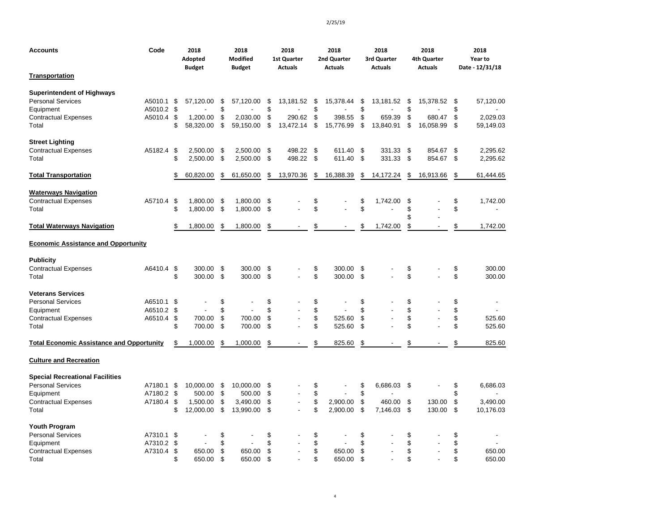| <b>Accounts</b>                                                                                                         | Code                             |                       | 2018<br>Adopted<br><b>Budget</b>             |                      | 2018<br><b>Modified</b><br><b>Budget</b>     |                      | 2018<br>1st Quarter<br><b>Actuals</b> |                      | 2018<br>2nd Quarter<br><b>Actuals</b> |                      | 2018<br>3rd Quarter<br><b>Actuals</b> |                      | 2018<br>4th Quarter<br><b>Actuals</b> |                      | 2018<br>Year to<br>Date - 12/31/18 |
|-------------------------------------------------------------------------------------------------------------------------|----------------------------------|-----------------------|----------------------------------------------|----------------------|----------------------------------------------|----------------------|---------------------------------------|----------------------|---------------------------------------|----------------------|---------------------------------------|----------------------|---------------------------------------|----------------------|------------------------------------|
| <b>Transportation</b>                                                                                                   |                                  |                       |                                              |                      |                                              |                      |                                       |                      |                                       |                      |                                       |                      |                                       |                      |                                    |
| <b>Superintendent of Highways</b><br><b>Personal Services</b><br>Equipment<br><b>Contractual Expenses</b><br>Total      | A5010.1<br>A5010.2<br>A5010.4    | \$<br>-\$<br>\$<br>\$ | 57,120.00<br>1,200.00<br>58,320.00           | \$<br>\$<br>\$<br>\$ | 57,120.00<br>2.030.00<br>59,150.00           | \$<br>\$<br>\$<br>\$ | 13,181.52<br>290.62<br>13,472.14      | \$<br>\$<br>\$<br>\$ | 15,378.44<br>398.55<br>15,776.99      | \$<br>\$<br>\$<br>\$ | 13,181.52<br>659.39<br>13,840.91      | \$<br>\$<br>\$<br>\$ | 15,378.52<br>680.47<br>16,058.99      | \$<br>\$<br>\$<br>\$ | 57,120.00<br>2.029.03<br>59,149.03 |
|                                                                                                                         |                                  |                       |                                              |                      |                                              |                      |                                       |                      |                                       |                      |                                       |                      |                                       |                      |                                    |
| <b>Street Lighting</b><br><b>Contractual Expenses</b><br>Total                                                          | A5182.4                          | -\$<br>\$             | 2,500.00<br>2,500.00                         | \$<br>\$             | 2,500.00<br>2,500.00                         | \$<br>\$             | 498.22<br>498.22                      | \$<br>\$             | 611.40<br>611.40                      | \$<br>\$             | 331.33<br>331.33                      | -\$<br>\$            | 854.67<br>854.67                      | \$<br>\$             | 2,295.62<br>2,295.62               |
| <b>Total Transportation</b>                                                                                             |                                  | \$                    | 60,820.00                                    | \$                   | 61,650.00                                    | \$                   | 13,970.36                             | \$                   | 16,388.39                             | \$                   | 14,172.24                             | \$                   | 16,913.66                             | \$                   | 61,444.65                          |
| <b>Waterways Navigation</b><br><b>Contractual Expenses</b><br>Total                                                     | A5710.4                          | \$<br>\$              | 1,800.00<br>1,800.00                         | \$<br>\$             | 1,800.00<br>1,800.00                         | \$<br>\$             |                                       | \$<br>\$             |                                       | \$<br>\$             | 1,742.00                              | \$<br>\$<br>\$       |                                       | \$<br>\$             | 1,742.00                           |
| <b>Total Waterways Navigation</b>                                                                                       |                                  | \$                    | 1,800.00                                     | \$                   | 1,800.00                                     | \$                   |                                       | \$                   |                                       | \$                   | 1,742.00                              | \$                   |                                       | \$                   | 1,742.00                           |
| <b>Economic Assistance and Opportunity</b>                                                                              |                                  |                       |                                              |                      |                                              |                      |                                       |                      |                                       |                      |                                       |                      |                                       |                      |                                    |
| <b>Publicity</b><br><b>Contractual Expenses</b><br>Total                                                                | A6410.4                          | \$<br>\$              | 300.00<br>300.00                             | \$<br>\$             | 300.00<br>300.00                             | \$<br>\$             |                                       | \$<br>\$             | 300.00<br>300.00                      | \$<br>\$             |                                       | \$<br>\$             |                                       | \$<br>\$             | 300.00<br>300.00                   |
| <b>Veterans Services</b><br><b>Personal Services</b><br>Equipment<br><b>Contractual Expenses</b><br>Total               | A6510.1<br>A6510.2<br>A6510.4    | \$<br>\$<br>\$<br>\$  | 700.00<br>700.00                             | \$<br>\$<br>\$<br>\$ | 700.00<br>700.00                             | \$<br>\$<br>\$<br>\$ | ÷,                                    | \$<br>\$<br>\$<br>\$ | 525.60<br>525.60                      | \$<br>\$<br>\$<br>\$ | L.                                    | \$<br>\$<br>\$<br>\$ |                                       | \$<br>\$<br>\$<br>\$ | 525.60<br>525.60                   |
| <b>Total Economic Assistance and Opportunity</b>                                                                        |                                  | \$                    | 1,000.00                                     | \$                   | 1,000.00                                     | \$                   |                                       | \$                   | 825.60                                | \$                   |                                       | \$                   |                                       | \$                   | 825.60                             |
| <b>Culture and Recreation</b>                                                                                           |                                  |                       |                                              |                      |                                              |                      |                                       |                      |                                       |                      |                                       |                      |                                       |                      |                                    |
| <b>Special Recreational Facilities</b><br><b>Personal Services</b><br>Equipment<br><b>Contractual Expenses</b><br>Total | A7180.1<br>A7180.2 \$<br>A7180.4 | S.<br>\$<br>\$        | 10.000.00<br>500.00<br>1.500.00<br>12,000.00 | \$<br>\$<br>\$<br>\$ | 10.000.00<br>500.00<br>3,490.00<br>13,990.00 | \$<br>\$<br>\$<br>\$ | ä,                                    | \$<br>\$<br>\$<br>\$ | 2,900.00<br>2,900.00                  | \$<br>\$<br>\$<br>\$ | 6,686.03<br>460.00<br>7,146.03        | -\$<br>\$<br>-\$     | 130.00<br>130.00                      | \$<br>\$<br>\$<br>\$ | 6,686.03<br>3.490.00<br>10,176.03  |
| <b>Youth Program</b><br><b>Personal Services</b><br>Equipment<br><b>Contractual Expenses</b><br>Total                   | A7310.1<br>A7310.2<br>A7310.4    | \$<br>\$<br>\$<br>\$  | 650.00<br>650.00                             | \$<br>\$<br>\$<br>\$ | 650.00<br>650.00                             | \$<br>\$<br>\$<br>\$ |                                       | \$<br>\$<br>\$<br>\$ | 650.00<br>650.00                      | \$<br>\$<br>\$<br>\$ | $\overline{a}$                        | \$<br>\$<br>\$<br>\$ |                                       | \$<br>\$<br>\$<br>\$ | 650.00<br>650.00                   |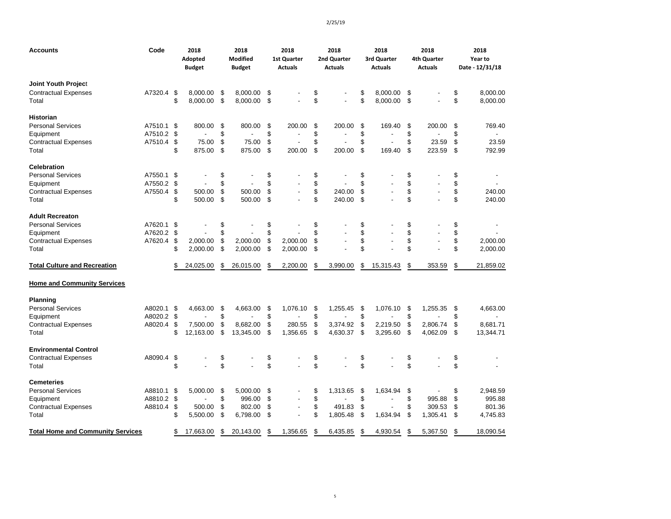| Accounts                                 | Code    | 2018<br>Adopted<br><b>Budget</b> | 2018<br><b>Modified</b><br><b>Budget</b> |    | 2018<br><b>1st Quarter</b><br><b>Actuals</b> | 2018<br>2nd Quarter<br><b>Actuals</b> | 2018<br>3rd Quarter<br><b>Actuals</b> | 2018<br>4th Quarter<br><b>Actuals</b> | 2018<br>Year to<br>Date - 12/31/18 |
|------------------------------------------|---------|----------------------------------|------------------------------------------|----|----------------------------------------------|---------------------------------------|---------------------------------------|---------------------------------------|------------------------------------|
| Joint Youth Project                      |         |                                  |                                          |    |                                              |                                       |                                       |                                       |                                    |
| <b>Contractual Expenses</b>              | A7320.4 | \$<br>8,000.00                   | \$<br>8,000.00                           | \$ |                                              | \$                                    | \$<br>8,000.00                        | \$                                    | \$<br>8,000.00                     |
| Total                                    |         | \$<br>8,000.00                   | \$<br>8,000.00                           | \$ |                                              | \$                                    | \$<br>8,000.00                        | \$                                    | \$<br>8,000.00                     |
| Historian                                |         |                                  |                                          |    |                                              |                                       |                                       |                                       |                                    |
| <b>Personal Services</b>                 | A7510.1 | \$<br>800.00                     | \$<br>800.00                             | \$ | 200.00                                       | \$<br>200.00                          | \$<br>169.40                          | \$<br>200.00                          | \$<br>769.40                       |
| Equipment                                | A7510.2 | \$<br>÷.                         | \$                                       | \$ |                                              | \$                                    | \$                                    | \$                                    | \$                                 |
| <b>Contractual Expenses</b>              | A7510.4 | \$<br>75.00                      | \$<br>75.00                              | \$ |                                              | \$<br>÷,                              | \$<br>ä,                              | \$<br>23.59                           | \$<br>23.59                        |
| Total                                    |         | \$<br>875.00                     | \$<br>875.00                             | \$ | 200.00                                       | \$<br>200.00                          | \$<br>169.40                          | \$<br>223.59                          | \$<br>792.99                       |
| <b>Celebration</b>                       |         |                                  |                                          |    |                                              |                                       |                                       |                                       |                                    |
| <b>Personal Services</b>                 | A7550.1 | \$                               | \$                                       | \$ |                                              | \$                                    | \$                                    | \$                                    | \$                                 |
| Equipment                                | A7550.2 | \$                               | \$                                       | \$ |                                              | \$                                    | \$                                    | \$                                    | \$                                 |
| <b>Contractual Expenses</b>              | A7550.4 | \$<br>500.00                     | \$<br>500.00                             | \$ |                                              | \$<br>240.00                          | \$                                    | \$                                    | \$<br>240.00                       |
| Total                                    |         | \$<br>500.00                     | \$<br>500.00                             | \$ |                                              | \$<br>240.00                          | \$                                    | \$                                    | \$<br>240.00                       |
| <b>Adult Recreaton</b>                   |         |                                  |                                          |    |                                              |                                       |                                       |                                       |                                    |
| <b>Personal Services</b>                 | A7620.1 | \$                               | \$                                       | \$ |                                              | \$                                    | \$                                    | \$                                    | \$                                 |
| Equipment                                | A7620.2 | \$                               | \$                                       | \$ |                                              | \$                                    | \$                                    | \$                                    | \$                                 |
| <b>Contractual Expenses</b>              | A7620.4 | \$<br>2,000.00                   | \$<br>2,000.00                           | \$ | 2,000.00                                     | \$                                    | \$<br>ä,                              | \$                                    | \$<br>2,000.00                     |
| Total                                    |         | \$<br>2,000.00                   | \$<br>2,000.00                           | \$ | 2,000.00                                     | \$                                    | \$                                    | \$                                    | \$<br>2,000.00                     |
| <b>Total Culture and Recreation</b>      |         | \$<br>24,025.00                  | \$<br>26,015.00                          | \$ | 2,200.00                                     | \$<br>3,990.00                        | \$<br>15,315.43                       | \$<br>353.59                          | \$<br>21,859.02                    |
| <b>Home and Community Services</b>       |         |                                  |                                          |    |                                              |                                       |                                       |                                       |                                    |
| <b>Planning</b>                          |         |                                  |                                          |    |                                              |                                       |                                       |                                       |                                    |
| <b>Personal Services</b>                 | A8020.1 | \$<br>4,663.00                   | \$<br>4,663.00                           | \$ | 1,076.10                                     | \$<br>1,255.45                        | \$<br>1,076.10                        | \$<br>1,255.35                        | \$<br>4,663.00                     |
| Equipment                                | A8020.2 | \$                               | \$                                       | \$ |                                              | \$                                    | \$                                    | \$                                    | \$<br>$\blacksquare$               |
| <b>Contractual Expenses</b>              | A8020.4 | \$<br>7,500.00                   | \$<br>8,682.00                           | \$ | 280.55                                       | \$<br>3,374.92                        | \$<br>2,219.50                        | \$<br>2,806.74                        | \$<br>8,681.71                     |
| Total                                    |         | \$<br>12,163.00                  | \$<br>13,345.00                          | S. | 1,356.65                                     | \$<br>4,630.37                        | \$<br>3,295.60                        | \$<br>4,062.09                        | \$<br>13,344.71                    |
| <b>Environmental Control</b>             |         |                                  |                                          |    |                                              |                                       |                                       |                                       |                                    |
| <b>Contractual Expenses</b>              | A8090.4 | \$                               | \$                                       | \$ |                                              | \$                                    | \$                                    | \$                                    | \$                                 |
| Total                                    |         | \$                               | \$                                       | \$ |                                              | \$                                    | \$                                    | \$                                    | \$                                 |
| Cemeteries                               |         |                                  |                                          |    |                                              |                                       |                                       |                                       |                                    |
| <b>Personal Services</b>                 | A8810.1 | \$<br>5,000.00                   | \$<br>5,000.00                           | \$ |                                              | \$<br>1,313.65                        | \$<br>1,634.94                        | \$                                    | \$<br>2,948.59                     |
| Equipment                                | A8810.2 | \$<br>$\overline{a}$             | \$<br>996.00                             | \$ |                                              | \$                                    | \$                                    | \$<br>995.88                          | \$<br>995.88                       |
| Contractual Expenses                     | A8810.4 | \$<br>500.00                     | \$<br>802.00                             | \$ |                                              | \$<br>491.83                          | \$                                    | \$<br>309.53                          | \$<br>801.36                       |
| Total                                    |         | \$<br>5,500.00                   | \$<br>6,798.00                           | \$ |                                              | \$<br>1,805.48                        | \$<br>1,634.94                        | \$<br>1,305.41                        | \$<br>4,745.83                     |
| <b>Total Home and Community Services</b> |         | \$<br>17.663.00                  | \$<br>20.143.00                          | \$ | 1.356.65                                     | \$<br>6.435.85                        | \$<br>4.930.54                        | \$<br>5,367.50                        | \$<br>18.090.54                    |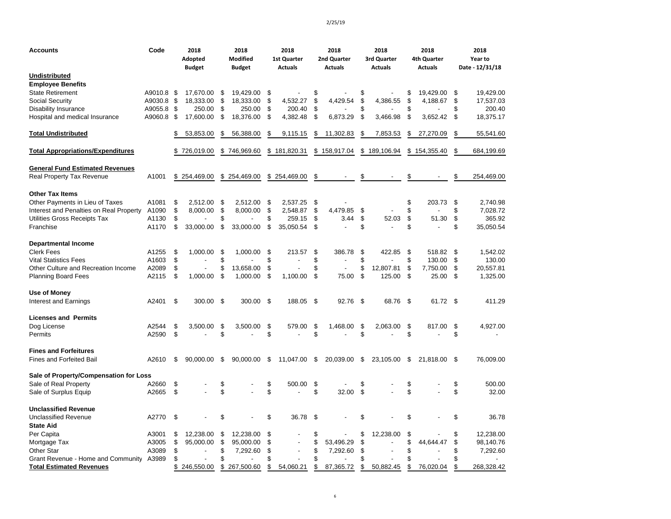| Accounts                                 | Code    | 2018<br>Adopted<br><b>Budget</b> | 2018<br><b>Modified</b><br><b>Budget</b> |      | 2018<br><b>1st Quarter</b><br><b>Actuals</b> |      | 2018<br>2nd Quarter<br><b>Actuals</b> |    | 2018<br>3rd Quarter<br><b>Actuals</b> | 2018<br>4th Quarter<br><b>Actuals</b> | 2018<br>Year to<br>Date - 12/31/18 |
|------------------------------------------|---------|----------------------------------|------------------------------------------|------|----------------------------------------------|------|---------------------------------------|----|---------------------------------------|---------------------------------------|------------------------------------|
| <b>Undistributed</b>                     |         |                                  |                                          |      |                                              |      |                                       |    |                                       |                                       |                                    |
| <b>Employee Benefits</b>                 |         |                                  |                                          |      |                                              |      |                                       |    |                                       |                                       |                                    |
| <b>State Retirement</b>                  | A9010.8 | \$<br>17,670.00                  | \$<br>19,429.00                          | \$   |                                              | \$   |                                       |    |                                       | \$<br>19,429.00                       | \$<br>19,429.00                    |
| <b>Social Security</b>                   | A9030.8 | \$<br>18,333.00                  | \$<br>18,333.00                          | \$   | 4,532.27                                     | \$   | 4,429.54                              | \$ | 4,386.55                              | \$<br>4,188.67                        | \$<br>17,537.03                    |
| Disability Insurance                     | A9055.8 | \$<br>250.00                     | \$<br>250.00                             | \$   | 200.40                                       | \$   |                                       | S  |                                       | \$                                    | \$<br>200.40                       |
| Hospital and medical Insurance           | A9060.8 | \$<br>17,600.00                  | \$<br>18,376.00                          | \$   | 4,382.48                                     | \$   | 6,873.29                              | \$ | 3,466.98                              | \$<br>3,652.42                        | \$<br>18,375.17                    |
| <b>Total Undistributed</b>               |         | \$<br>53,853.00                  | \$<br>56,388.00                          | \$   | 9,115.15                                     | \$   | 11,302.83                             | \$ | 7,853.53                              | \$<br>27,270.09                       | \$<br>55,541.60                    |
| <b>Total Appropriations/Expenditures</b> |         | \$726,019.00                     | \$<br>746,969.60                         |      | \$181,820.31                                 |      | \$158,917.04                          |    | \$189,106.94                          | \$<br>154,355.40                      | \$<br>684,199.69                   |
| <b>General Fund Estimated Revenues</b>   |         |                                  |                                          |      |                                              |      |                                       |    |                                       |                                       |                                    |
| Real Property Tax Revenue                | A1001   | \$254,469.00                     | \$254,469.00                             |      | \$254,469.00                                 | \$   |                                       | \$ |                                       | \$                                    | \$<br>254,469.00                   |
| <b>Other Tax Items</b>                   |         |                                  |                                          |      |                                              |      |                                       |    |                                       |                                       |                                    |
| Other Payments in Lieu of Taxes          | A1081   | \$<br>2,512.00                   | \$<br>2,512.00                           | \$   | 2,537.25                                     | \$   |                                       |    |                                       | \$<br>203.73                          | \$<br>2,740.98                     |
| Interest and Penalties on Real Property  | A1090   | \$<br>8,000.00                   | \$<br>8,000.00                           | \$   | 2,548.87                                     | \$   | 4,479.85                              | \$ |                                       | \$                                    | \$<br>7,028.72                     |
| Utilities Gross Receipts Tax             | A1130   | \$                               | \$                                       | \$   | 259.15                                       | \$   | 3.44                                  | \$ | 52.03                                 | \$<br>51.30                           | \$<br>365.92                       |
| Franchise                                | A1170   | \$<br>33,000.00                  | \$<br>33,000.00                          | \$   | 35,050.54                                    | \$   |                                       | \$ |                                       | \$                                    | \$<br>35,050.54                    |
| <b>Departmental Income</b>               |         |                                  |                                          |      |                                              |      |                                       |    |                                       |                                       |                                    |
| <b>Clerk Fees</b>                        | A1255   | \$<br>1,000.00                   | \$<br>1,000.00                           | \$   | 213.57                                       | \$   | 386.78                                | \$ | 422.85                                | \$<br>518.82                          | \$<br>1,542.02                     |
| <b>Vital Statistics Fees</b>             | A1603   | \$                               | \$                                       | \$   |                                              | \$   |                                       | \$ |                                       | \$<br>130.00                          | \$<br>130.00                       |
| Other Culture and Recreation Income      | A2089   | \$<br>$\overline{a}$             | \$<br>13,658.00                          | \$   |                                              | \$   |                                       | \$ | 12,807.81                             | \$<br>7,750.00                        | \$<br>20,557.81                    |
| <b>Planning Board Fees</b>               | A2115   | \$<br>1,000.00                   | \$<br>1,000.00                           | \$   | 1,100.00                                     | \$   | 75.00                                 | \$ | 125.00                                | \$<br>25.00                           | \$<br>1,325.00                     |
| Use of Money                             |         |                                  |                                          |      |                                              |      |                                       |    |                                       |                                       |                                    |
| Interest and Earnings                    | A2401   | \$<br>300.00                     | \$<br>300.00                             | - \$ | 188.05                                       | - \$ | 92.76 \$                              |    | 68.76                                 | \$<br>61.72 \$                        | 411.29                             |
| <b>Licenses and Permits</b>              |         |                                  |                                          |      |                                              |      |                                       |    |                                       |                                       |                                    |
| Dog License                              | A2544   | \$<br>3,500.00                   | \$<br>3,500.00                           | \$   | 579.00                                       | \$   | 1,468.00                              | \$ | 2,063.00                              | \$<br>817.00                          | \$<br>4,927.00                     |
| Permits                                  | A2590   | \$                               | \$                                       | \$   |                                              | \$   |                                       | \$ |                                       | \$                                    | \$                                 |
| <b>Fines and Forfeitures</b>             |         |                                  |                                          |      |                                              |      |                                       |    |                                       |                                       |                                    |
| <b>Fines and Forfeited Bail</b>          | A2610   | \$<br>90,000.00                  | \$<br>90,000.00                          | \$   | 11,047.00                                    | \$   | 20,039.00                             | \$ | 23,105.00                             | \$<br>21,818.00 \$                    | 76,009.00                          |
| Sale of Property/Compensation for Loss   |         |                                  |                                          |      |                                              |      |                                       |    |                                       |                                       |                                    |
| Sale of Real Property                    | A2660   | \$                               | \$                                       | \$   | 500.00                                       | \$   |                                       | \$ |                                       | \$                                    | \$<br>500.00                       |
| Sale of Surplus Equip                    | A2665   | \$                               | \$                                       | \$   |                                              | \$   | 32.00                                 | \$ |                                       | \$                                    | \$<br>32.00                        |
| <b>Unclassified Revenue</b>              |         |                                  |                                          |      |                                              |      |                                       |    |                                       |                                       |                                    |
| <b>Unclassified Revenue</b>              | A2770   | \$                               | \$                                       | \$   | 36.78                                        | \$   |                                       | \$ |                                       | \$                                    | \$<br>36.78                        |
| <b>State Aid</b>                         |         |                                  |                                          |      |                                              |      |                                       |    |                                       |                                       |                                    |
| Per Capita                               | A3001   | \$<br>12,238.00                  | \$<br>12,238.00                          | \$   |                                              | \$   |                                       | \$ | 12,238.00                             | \$                                    | \$<br>12,238.00                    |
| Mortgage Tax                             | A3005   | \$<br>95,000.00                  | \$<br>95,000.00                          | \$   |                                              | \$   | 53,496.29                             | \$ |                                       | \$<br>44.644.47                       | \$<br>98,140.76                    |
| <b>Other Star</b>                        | A3089   | \$                               | \$<br>7,292.60                           | \$   |                                              | \$   | 7,292.60                              | \$ |                                       | \$                                    | \$<br>7,292.60                     |
| Grant Revenue - Home and Community       | A3989   | \$                               | \$                                       | \$   |                                              | \$   |                                       | \$ |                                       | \$                                    | \$                                 |
| <b>Total Estimated Revenues</b>          |         | \$<br>246,550.00                 | \$<br>267,500.60                         | \$   | 54,060.21                                    | \$   | 87,365.72                             | \$ | 50,882.45                             | \$<br>76,020.04                       | \$<br>268,328.42                   |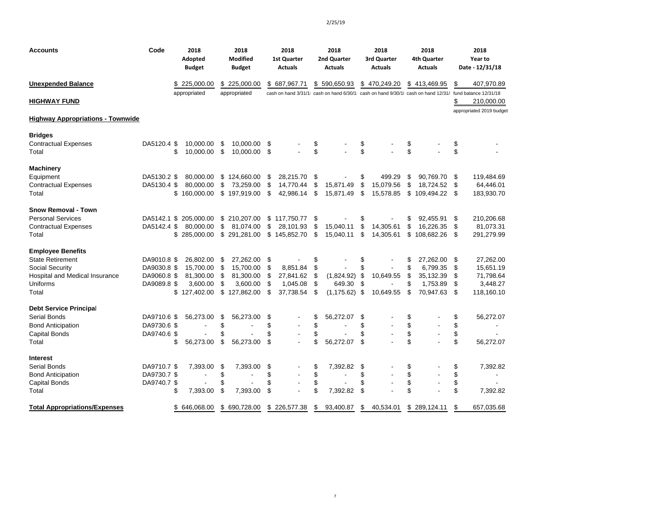| <b>Accounts</b>                                                                                                               | Code                                                     | 2018<br>Adopted<br><b>Budget</b>                                |                      | 2018<br><b>Modified</b><br><b>Budget</b>                        |                             | 2018<br><b>1st Quarter</b><br><b>Actuals</b>   |                            | 2018<br>2nd Quarter<br><b>Actuals</b>                                                                    |                      | 2018<br>3rd Quarter<br><b>Actuals</b>      |                            | 2018<br>4th Quarter<br><b>Actuals</b>                       |                              | 2018<br>Year to<br>Date - 12/31/18                            |
|-------------------------------------------------------------------------------------------------------------------------------|----------------------------------------------------------|-----------------------------------------------------------------|----------------------|-----------------------------------------------------------------|-----------------------------|------------------------------------------------|----------------------------|----------------------------------------------------------------------------------------------------------|----------------------|--------------------------------------------|----------------------------|-------------------------------------------------------------|------------------------------|---------------------------------------------------------------|
| <b>Unexpended Balance</b>                                                                                                     |                                                          | \$225,000.00                                                    |                      | \$225,000.00                                                    | \$                          | 687,967.71                                     |                            | \$590,650.93                                                                                             |                      | \$470,249.20                               |                            | \$413,469.95                                                | \$                           | 407,970.89                                                    |
| <b>HIGHWAY FUND</b>                                                                                                           |                                                          | appropriated                                                    |                      | appropriated                                                    |                             |                                                |                            | cash on hand 3/31/1; cash on hand 6/30/1; cash on hand 9/30/1; cash on hand 12/31/ fund balance 12/31/18 |                      |                                            |                            |                                                             | \$                           | 210,000.00                                                    |
| <b>Highway Appropriations - Townwide</b>                                                                                      |                                                          |                                                                 |                      |                                                                 |                             |                                                |                            |                                                                                                          |                      |                                            |                            |                                                             |                              | appropriated 2019 budget                                      |
| <b>Bridges</b><br><b>Contractual Expenses</b><br>Total                                                                        | DA5120.4 \$<br>\$                                        | 10,000.00<br>10,000.00                                          | \$<br>\$             | 10,000.00<br>10,000.00                                          | S<br>\$                     |                                                | \$<br>\$                   |                                                                                                          | \$<br>\$             |                                            | \$<br>\$                   |                                                             | \$<br>\$                     |                                                               |
| <b>Machinery</b><br>Equipment<br><b>Contractual Expenses</b><br>Total                                                         | DA5130.2 \$<br>DA5130.4 \$                               | 80.000.00<br>80.000.00<br>\$<br>160,000.00                      | \$                   | \$124,660.00<br>73,259.00<br>\$197,919.00                       | S<br>\$<br>\$               | 28,215.70<br>14.770.44<br>42,986.14            | \$<br>\$<br>-\$            | 15,871.49<br>15,871.49                                                                                   | \$<br>\$<br>\$       | 499.29<br>15.079.56<br>15,578.85           | \$<br>\$<br>\$             | 90.769.70<br>18.724.52 \$<br>109,494.22 \$                  | - \$                         | 119,484.69<br>64,446.01<br>183,930.70                         |
| <b>Snow Removal - Town</b><br><b>Personal Services</b><br><b>Contractual Expenses</b><br>Total                                | DA5142.4 \$                                              | DA5142.1 \$ 205,000.00<br>80,000.00<br>\$<br>285,000.00         | \$                   | \$210,207.00<br>81,074.00<br>\$291,281.00                       | \$                          | $$117,750.77$ \;<br>28,101.93<br>\$145,852.70  | \$<br>\$                   | 15,040.11<br>15,040.11                                                                                   | \$<br>\$<br>\$       | 14,305.61<br>14,305.61                     | \$<br>\$<br>\$             | 92,455.91<br>16,226.35<br>108,682.26 \$                     | - \$<br>\$                   | 210,206.68<br>81,073.31<br>291,279.99                         |
| <b>Employee Benefits</b><br><b>State Retirement</b><br>Social Security<br>Hospital and Medical Insurance<br>Uniforms<br>Total | DA9010.8 \$<br>DA9030.8 \$<br>DA9060.8 \$<br>DA9089.8 \$ | 26,802.00<br>15.700.00<br>81,300.00<br>3,600.00<br>\$127,402.00 | \$<br>\$<br>S<br>\$  | 27,262.00<br>15.700.00<br>81,300.00<br>3,600.00<br>\$127,862.00 | \$<br>\$<br>-\$<br>\$<br>\$ | 8.851.84<br>27,841.62<br>1,045.08<br>37,738.54 | \$<br>\$<br>\$<br>\$<br>\$ | (1,824.92)<br>649.30<br>$(1, 175.62)$ \$                                                                 | \$<br>\$<br>\$<br>\$ | $\blacksquare$<br>10,649.55<br>10,649.55   | \$<br>\$<br>\$<br>\$<br>\$ | 27,262.00<br>6.799.35<br>35,132.39<br>1,753.89<br>70,947.63 | -\$<br>\$<br>\$<br>\$<br>-\$ | 27,262.00<br>15,651.19<br>71,798.64<br>3,448.27<br>118,160.10 |
| <b>Debt Service Principal</b><br>Serial Bonds<br><b>Bond Anticipation</b><br><b>Capital Bonds</b><br>Total                    | DA9710.6 \$<br>DA9730.6 \$<br>DA9740.6 \$<br>\$          | 56,273.00<br>$\blacksquare$<br>56,273.00                        | \$<br>\$<br>\$<br>\$ | 56,273.00<br>56,273.00                                          | \$<br>\$<br>\$<br>\$        |                                                | \$<br>\$<br>\$<br>\$       | 56,272.07<br>$\overline{a}$<br>56,272.07                                                                 | \$<br>\$<br>\$<br>\$ | $\overline{\phantom{a}}$                   | \$<br>\$<br>\$<br>\$       |                                                             | \$<br>\$<br>\$<br>\$         | 56,272.07<br>$\overline{\phantom{a}}$<br>56,272.07            |
| Interest<br>Serial Bonds<br><b>Bond Anticipation</b><br>Capital Bonds<br>Total                                                | DA9710.7 \$<br>DA9730.7 \$<br>DA9740.7 \$<br>\$          | 7,393.00<br>$\overline{\phantom{a}}$<br>7,393.00                | \$<br>\$<br>\$<br>\$ | 7,393.00<br>$\overline{\phantom{a}}$<br>7,393.00                | \$<br>\$<br>\$<br>\$        |                                                | \$<br>\$<br>\$<br>\$       | 7,392.82<br>$\overline{a}$<br>7,392.82                                                                   | \$<br>\$<br>\$<br>\$ | $\overline{\phantom{a}}$<br>$\overline{a}$ | \$<br>\$<br>\$<br>\$       |                                                             | \$<br>\$<br>\$<br>\$         | 7,392.82<br>$\blacksquare$<br>7,392.82                        |
| <b>Total Appropriations/Expenses</b>                                                                                          |                                                          | \$<br>646,068.00                                                | \$                   | 690,728.00                                                      |                             | \$226,577.38                                   | \$                         | 93,400.87                                                                                                | \$                   | 40,534.01                                  | \$                         | 289,124.11                                                  | \$                           | 657,035.68                                                    |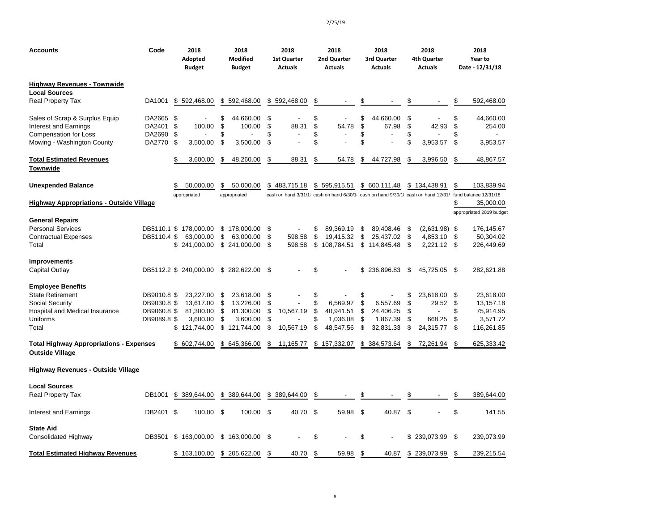| Accounts                                                          | Code        | 2018<br>Adopted<br><b>Budget</b> | 2018<br><b>Modified</b><br><b>Budget</b> | 2018<br><b>1st Quarter</b><br><b>Actuals</b> | 2018<br>2nd Quarter<br><b>Actuals</b> | 2018<br>3rd Quarter<br><b>Actuals</b> | 2018<br>4th Quarter<br><b>Actuals</b> | 2018<br>Year to<br>Date - 12/31/18                                                                       |
|-------------------------------------------------------------------|-------------|----------------------------------|------------------------------------------|----------------------------------------------|---------------------------------------|---------------------------------------|---------------------------------------|----------------------------------------------------------------------------------------------------------|
| Highway Revenues - Townwide                                       |             |                                  |                                          |                                              |                                       |                                       |                                       |                                                                                                          |
| <b>Local Sources</b>                                              |             |                                  |                                          |                                              |                                       |                                       |                                       |                                                                                                          |
| <b>Real Property Tax</b>                                          | DA1001      | \$592,468.00                     | \$592,468.00                             | \$592,468.00                                 | \$                                    | \$                                    | \$                                    | 592,468.00<br>\$                                                                                         |
| Sales of Scrap & Surplus Equip                                    | DA2665 \$   |                                  | \$<br>44,660.00                          | \$                                           | \$<br>$\overline{\phantom{a}}$        | \$<br>44,660.00                       | \$                                    | \$<br>44,660.00                                                                                          |
| <b>Interest and Earnings</b>                                      | DA2401      | \$<br>100.00                     | \$<br>100.00                             | \$<br>88.31                                  | \$<br>54.78                           | \$<br>67.98                           | \$<br>42.93                           | \$<br>254.00                                                                                             |
| <b>Compensation for Loss</b>                                      | DA2690 \$   |                                  | \$                                       | \$                                           | \$<br>$\overline{\phantom{a}}$        | \$                                    | \$                                    | \$                                                                                                       |
| Mowing - Washington County                                        | DA2770 \$   | 3,500.00                         | \$<br>3,500.00                           | \$                                           | \$                                    | \$                                    | \$<br>3,953.57                        | 3,953.57<br>\$                                                                                           |
| <b>Total Estimated Revenues</b>                                   |             | \$<br>3,600.00                   | 48,260.00<br>\$                          | \$<br>88.31                                  | \$<br>54.78                           | 44,727.98<br>\$                       | S<br>3,996.50                         | \$<br>48,867.57                                                                                          |
| Townwide                                                          |             |                                  |                                          |                                              |                                       |                                       |                                       |                                                                                                          |
| <b>Unexpended Balance</b>                                         |             | 50.000.00<br>\$                  | \$<br>50,000.00                          | \$483,715.18                                 | \$595,915.51                          | \$ 600,111.48                         | \$134,438.91                          | \$<br>103.839.94                                                                                         |
|                                                                   |             | appropriated                     | appropriated                             |                                              |                                       |                                       |                                       | cash on hand 3/31/1; cash on hand 6/30/1; cash on hand 9/30/1; cash on hand 12/31/ fund balance 12/31/18 |
| <b>Highway Appropriations - Outside Village</b>                   |             |                                  |                                          |                                              |                                       |                                       |                                       | 35,000.00<br>\$                                                                                          |
|                                                                   |             |                                  |                                          |                                              |                                       |                                       |                                       | appropriated 2019 budget                                                                                 |
| General Repairs                                                   |             |                                  |                                          |                                              |                                       |                                       |                                       |                                                                                                          |
| <b>Personal Services</b>                                          |             | DB5110.1 \$ 178,000.00           | \$178,000.00                             | \$                                           | \$<br>89,369.19                       | \$<br>89,408.46                       | $(2,631.98)$ \$<br>\$                 | 176,145.67                                                                                               |
| Contractual Expenses                                              | DB5110.4 \$ | 63,000.00                        | \$<br>63,000.00                          | 598.58<br>\$                                 | \$<br>19,415.32                       | \$<br>25,437.02                       | \$<br>4,853.10                        | \$<br>50,304.02                                                                                          |
| Total                                                             |             | \$241,000.00                     | \$ 241,000.00                            | \$<br>598.58                                 | \$<br>108,784.51                      | \$114,845.48                          | \$<br>$2,221.12$ \$                   | 226,449.69                                                                                               |
| <b>Improvements</b>                                               |             |                                  |                                          |                                              |                                       |                                       |                                       |                                                                                                          |
| Capital Outlay                                                    |             | DB5112.2 \$ 240,000.00           | \$282,622.00                             | \$                                           | \$                                    | 236,896.83<br>\$                      | \$<br>45,725.05                       | -\$<br>282,621.88                                                                                        |
| <b>Employee Benefits</b>                                          |             |                                  |                                          |                                              |                                       |                                       |                                       |                                                                                                          |
| <b>State Retirement</b>                                           | DB9010.8 \$ | 23,227.00                        | \$<br>23,618.00                          | \$                                           | \$                                    | \$                                    | \$<br>23,618.00                       | \$<br>23,618.00                                                                                          |
| Social Security                                                   | DB9030.8 \$ | 13,617.00                        | \$<br>13,226.00                          | \$                                           | \$<br>6,569.97                        | \$<br>6,557.69                        | \$<br>29.52                           | \$<br>13,157.18                                                                                          |
| Hospital and Medical Insurance                                    | DB9060.8 \$ | 81,300.00                        | \$<br>81,300.00                          | 10,567.19<br>\$                              | \$<br>40,941.51                       | \$<br>24,406.25                       | \$                                    | 75,914.95<br>\$                                                                                          |
| Uniforms                                                          | DB9089.8 \$ | 3,600.00                         | \$<br>3,600.00                           | \$                                           | \$<br>1,036.08                        | \$<br>1,867.39                        | \$<br>668.25                          | \$<br>3,571.72                                                                                           |
| Total                                                             |             | \$121,744.00                     | \$<br>121,744.00                         | \$<br>10,567.19                              | \$<br>48,547.56                       | \$<br>32,831.33                       | \$<br>24,315.77                       | \$<br>116,261.85                                                                                         |
| <b>Total Highway Appropriations - Expenses</b><br>Outside Village |             | \$ 602,744.00                    | \$<br>645,366.00                         | \$<br>11,165.77                              | \$157,332.07                          | \$384,573.64                          | \$<br>72,261.94                       | 625,333.42<br>\$                                                                                         |
| Highway Revenues - Outside Village                                |             |                                  |                                          |                                              |                                       |                                       |                                       |                                                                                                          |
| Local Sources                                                     |             |                                  |                                          |                                              |                                       |                                       |                                       |                                                                                                          |
| <b>Real Property Tax</b>                                          | DB1001      | \$ 389,644.00                    | \$ 389,644.00                            | \$ 389,644.00                                | \$                                    |                                       | S                                     | \$<br>389,644.00                                                                                         |
| Interest and Earnings                                             | DB2401 \$   | 100.00                           | \$<br>100.00                             | \$<br>40.70                                  | \$<br>59.98                           | \$<br>40.87                           | \$                                    | \$<br>141.55                                                                                             |
| State Aid                                                         |             |                                  |                                          |                                              |                                       |                                       |                                       |                                                                                                          |
| Consolidated Highway                                              | DB3501      | \$163,000.00                     | \$163,000.00                             | \$                                           | \$                                    | \$                                    | \$239,073.99                          | \$<br>239.073.99                                                                                         |
| <b>Total Estimated Highway Revenues</b>                           |             | \$163,100.00                     | \$ 205,622.00                            | \$<br>40.70                                  | \$<br>59.98                           | \$<br>40.87                           | \$239,073.99                          | 239,215.54<br>\$                                                                                         |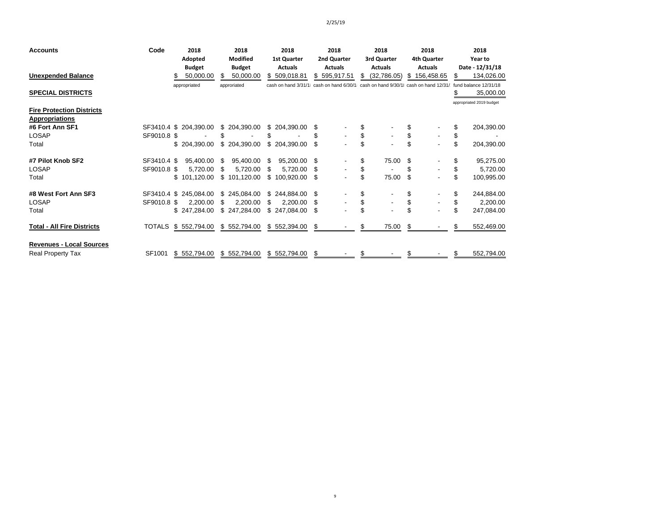9

| <b>Accounts</b>                   | Code          | 2018                   |    | 2018            |    | 2018               |      | 2018                                                                                          | 2018                           |    | 2018           |    | 2018                     |
|-----------------------------------|---------------|------------------------|----|-----------------|----|--------------------|------|-----------------------------------------------------------------------------------------------|--------------------------------|----|----------------|----|--------------------------|
|                                   |               | Adopted                |    | <b>Modified</b> |    | <b>1st Quarter</b> |      | 2nd Quarter                                                                                   | 3rd Quarter                    |    | 4th Quarter    |    | Year to                  |
|                                   |               | <b>Budget</b>          |    | <b>Budget</b>   |    | <b>Actuals</b>     |      | <b>Actuals</b>                                                                                | <b>Actuals</b>                 |    | <b>Actuals</b> |    | Date - 12/31/18          |
| <b>Unexpended Balance</b>         |               | 50,000.00              | \$ | 50,000.00       |    | \$509,018.81       |      | \$595,917.51                                                                                  | \$<br>(32,786.05)              | \$ | 156,458.65     | S  | 134,026.00               |
|                                   |               | appropriated           |    | approriated     |    |                    |      | cash on hand $3/31/1$ ; cash on hand $6/30/1$ ; cash on hand $9/30/1$ ; cash on hand $12/31/$ |                                |    |                |    | fund balance 12/31/18    |
| <b>SPECIAL DISTRICTS</b>          |               |                        |    |                 |    |                    |      |                                                                                               |                                |    |                | \$ | 35,000.00                |
| <b>Fire Protection Districts</b>  |               |                        |    |                 |    |                    |      |                                                                                               |                                |    |                |    | appropriated 2019 budget |
| <b>Appropriations</b>             |               |                        |    |                 |    |                    |      |                                                                                               |                                |    |                |    |                          |
| #6 Fort Ann SF1                   | SF3410.4      | \$<br>204,390.00       |    | \$ 204,390.00   |    | \$204,390.00       | S    |                                                                                               |                                |    |                | \$ | 204,390.00               |
| <b>LOSAP</b>                      | SF9010.8 \$   |                        |    |                 | \$ |                    |      |                                                                                               | \$                             |    |                | \$ |                          |
| Total                             |               | \$204,390.00           |    | \$204,390.00    | \$ | 204,390.00         | \$   |                                                                                               | \$<br>$\overline{\phantom{a}}$ | \$ |                | \$ | 204,390.00               |
| #7 Pilot Knob SF2                 | SF3410.4 \$   | 95,400.00              | S  | 95,400.00       | S  | 95,200.00          | - \$ |                                                                                               | \$<br>75.00                    | \$ |                | \$ | 95,275.00                |
| <b>LOSAP</b>                      | SF9010.8 \$   | 5,720.00               | \$ | 5,720.00        | \$ | 5,720.00           | - \$ |                                                                                               | \$                             | S  |                | \$ | 5,720.00                 |
| Total                             |               | \$101,120.00           |    | \$101,120.00    | \$ | 100,920.00         | \$   |                                                                                               | \$<br>75.00                    | \$ |                | \$ | 100,995.00               |
| #8 West Fort Ann SF3              |               | SF3410.4 \$ 245,084.00 |    | \$245,084.00    |    | \$244,884.00       | -S   |                                                                                               | \$                             | S  |                | \$ | 244,884.00               |
| <b>LOSAP</b>                      | SF9010.8 \$   | 2,200.00               | S  | 2,200.00        | \$ | 2,200.00           | \$   |                                                                                               | \$<br>$\overline{\phantom{a}}$ |    |                | \$ | 2,200.00                 |
| Total                             |               | \$247,284.00           |    | \$247,284.00    |    | \$247,084.00       | \$   | $\blacksquare$                                                                                | $\blacksquare$                 |    |                | \$ | 247,084.00               |
| <b>Total - All Fire Districts</b> | <b>TOTALS</b> | \$552,794.00           |    | \$552,794.00    |    | \$552,394.00       | S    |                                                                                               | \$<br>75.00                    | \$ |                | \$ | 552,469.00               |
| <b>Revenues - Local Sources</b>   |               |                        |    |                 |    |                    |      |                                                                                               |                                |    |                |    |                          |
| <b>Real Property Tax</b>          | SF1001        | \$552,794.00           |    | \$552,794.00    |    | \$552,794.00       | - \$ |                                                                                               | \$                             | \$ |                | \$ | 552,794.00               |